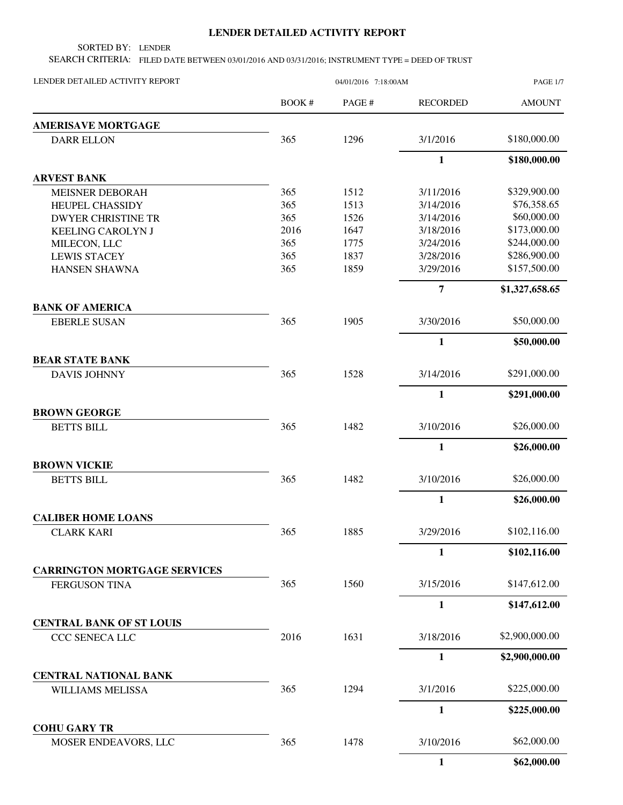## **LENDER DETAILED ACTIVITY REPORT**

SORTED BY: LENDER

SEARCH CRITERIA: FILED DATE BETWEEN 03/01/2016 AND 03/31/2016; INSTRUMENT TYPE = DEED OF TRUST

| LENDER DETAILED ACTIVITY REPORT               |              | 04/01/2016 7:18:00AM |                 | <b>PAGE 1/7</b> |
|-----------------------------------------------|--------------|----------------------|-----------------|-----------------|
|                                               | <b>BOOK#</b> | PAGE #               | <b>RECORDED</b> | <b>AMOUNT</b>   |
| <b>AMERISAVE MORTGAGE</b>                     |              |                      |                 |                 |
| <b>DARR ELLON</b>                             | 365          | 1296                 | 3/1/2016        | \$180,000.00    |
|                                               |              |                      | $\mathbf{1}$    | \$180,000.00    |
| <b>ARVEST BANK</b>                            |              |                      |                 |                 |
| <b>MEISNER DEBORAH</b>                        | 365          | 1512                 | 3/11/2016       | \$329,900.00    |
| <b>HEUPEL CHASSIDY</b>                        | 365          | 1513                 | 3/14/2016       | \$76,358.65     |
| <b>DWYER CHRISTINE TR</b>                     | 365          | 1526                 | 3/14/2016       | \$60,000.00     |
| <b>KEELING CAROLYN J</b>                      | 2016         | 1647                 | 3/18/2016       | \$173,000.00    |
| MILECON, LLC                                  | 365          | 1775                 | 3/24/2016       | \$244,000.00    |
| <b>LEWIS STACEY</b>                           | 365          | 1837                 | 3/28/2016       | \$286,900.00    |
| <b>HANSEN SHAWNA</b>                          | 365          | 1859                 | 3/29/2016       | \$157,500.00    |
|                                               |              |                      | $\overline{7}$  | \$1,327,658.65  |
| <b>BANK OF AMERICA</b><br><b>EBERLE SUSAN</b> | 365          | 1905                 | 3/30/2016       | \$50,000.00     |
|                                               |              |                      | $\mathbf{1}$    | \$50,000.00     |
| <b>BEAR STATE BANK</b>                        |              |                      |                 |                 |
| <b>DAVIS JOHNNY</b>                           | 365          | 1528                 | 3/14/2016       | \$291,000.00    |
|                                               |              |                      | $\mathbf{1}$    | \$291,000.00    |
| <b>BROWN GEORGE</b>                           |              |                      |                 |                 |
| <b>BETTS BILL</b>                             | 365          | 1482                 | 3/10/2016       | \$26,000.00     |
|                                               |              |                      | $\mathbf{1}$    | \$26,000.00     |
| <b>BROWN VICKIE</b>                           |              |                      |                 |                 |
| <b>BETTS BILL</b>                             | 365          | 1482                 | 3/10/2016       | \$26,000.00     |
|                                               |              |                      | $\mathbf{1}$    | \$26,000.00     |
| <b>CALIBER HOME LOANS</b>                     |              |                      |                 |                 |
| <b>CLARK KARI</b>                             | 365          | 1885                 | 3/29/2016       | \$102,116.00    |
|                                               |              |                      | 1               | \$102,116.00    |
| <b>CARRINGTON MORTGAGE SERVICES</b>           |              |                      |                 |                 |
| FERGUSON TINA                                 | 365          | 1560                 | 3/15/2016       | \$147,612.00    |
|                                               |              |                      | $\mathbf{1}$    | \$147,612.00    |
| <b>CENTRAL BANK OF ST LOUIS</b>               |              |                      |                 |                 |
| CCC SENECA LLC                                | 2016         | 1631                 | 3/18/2016       | \$2,900,000.00  |
|                                               |              |                      | $\mathbf{1}$    | \$2,900,000.00  |
| <b>CENTRAL NATIONAL BANK</b>                  |              |                      |                 |                 |
| WILLIAMS MELISSA                              | 365          | 1294                 | 3/1/2016        | \$225,000.00    |
|                                               |              |                      | $\mathbf{1}$    | \$225,000.00    |
| <b>COHU GARY TR</b><br>MOSER ENDEAVORS, LLC   | 365          | 1478                 | 3/10/2016       | \$62,000.00     |
|                                               |              |                      | $\mathbf{1}$    | \$62,000.00     |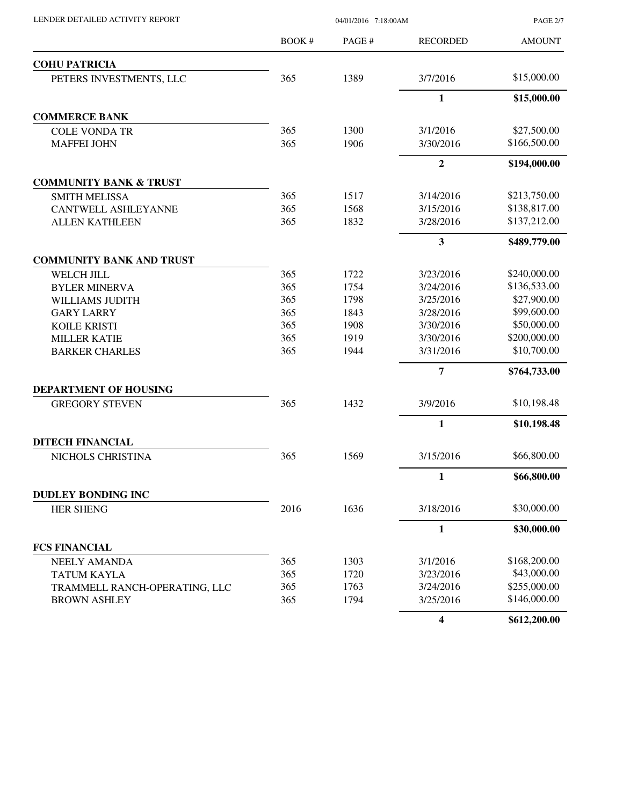LENDER DETAILED ACTIVITY REPORT 04/01/2016 7:18:00AM

PAGE 2/7

|                                   | BOOK# | PAGE# | <b>RECORDED</b>         | <b>AMOUNT</b> |
|-----------------------------------|-------|-------|-------------------------|---------------|
| <b>COHU PATRICIA</b>              |       |       |                         |               |
| PETERS INVESTMENTS, LLC           | 365   | 1389  | 3/7/2016                | \$15,000.00   |
|                                   |       |       | $\mathbf{1}$            | \$15,000.00   |
| <b>COMMERCE BANK</b>              |       |       |                         |               |
| <b>COLE VONDA TR</b>              | 365   | 1300  | 3/1/2016                | \$27,500.00   |
| <b>MAFFEI JOHN</b>                | 365   | 1906  | 3/30/2016               | \$166,500.00  |
|                                   |       |       | $\mathbf{2}$            | \$194,000.00  |
| <b>COMMUNITY BANK &amp; TRUST</b> |       |       |                         |               |
| <b>SMITH MELISSA</b>              | 365   | 1517  | 3/14/2016               | \$213,750.00  |
| <b>CANTWELL ASHLEYANNE</b>        | 365   | 1568  | 3/15/2016               | \$138,817.00  |
| <b>ALLEN KATHLEEN</b>             | 365   | 1832  | 3/28/2016               | \$137,212.00  |
|                                   |       |       | $\mathbf{3}$            | \$489,779.00  |
| <b>COMMUNITY BANK AND TRUST</b>   |       |       |                         |               |
| WELCH JILL                        | 365   | 1722  | 3/23/2016               | \$240,000.00  |
| <b>BYLER MINERVA</b>              | 365   | 1754  | 3/24/2016               | \$136,533.00  |
| WILLIAMS JUDITH                   | 365   | 1798  | 3/25/2016               | \$27,900.00   |
| <b>GARY LARRY</b>                 | 365   | 1843  | 3/28/2016               | \$99,600.00   |
| <b>KOILE KRISTI</b>               | 365   | 1908  | 3/30/2016               | \$50,000.00   |
| <b>MILLER KATIE</b>               | 365   | 1919  | 3/30/2016               | \$200,000.00  |
| <b>BARKER CHARLES</b>             | 365   | 1944  | 3/31/2016               | \$10,700.00   |
|                                   |       |       | 7                       | \$764,733.00  |
| DEPARTMENT OF HOUSING             |       |       |                         |               |
| <b>GREGORY STEVEN</b>             | 365   | 1432  | 3/9/2016                | \$10,198.48   |
|                                   |       |       | $\mathbf{1}$            | \$10,198.48   |
| <b>DITECH FINANCIAL</b>           |       |       |                         |               |
| NICHOLS CHRISTINA                 | 365   | 1569  | 3/15/2016               | \$66,800.00   |
|                                   |       |       | $\mathbf{1}$            | \$66,800.00   |
| <b>DUDLEY BONDING INC</b>         |       |       |                         |               |
| <b>HER SHENG</b>                  | 2016  | 1636  | 3/18/2016               | \$30,000.00   |
|                                   |       |       | 1                       | \$30,000.00   |
| <b>FCS FINANCIAL</b>              |       |       |                         |               |
| <b>NEELY AMANDA</b>               | 365   | 1303  | 3/1/2016                | \$168,200.00  |
| <b>TATUM KAYLA</b>                | 365   | 1720  | 3/23/2016               | \$43,000.00   |
| TRAMMELL RANCH-OPERATING, LLC     | 365   | 1763  | 3/24/2016               | \$255,000.00  |
| <b>BROWN ASHLEY</b>               | 365   | 1794  | 3/25/2016               | \$146,000.00  |
|                                   |       |       | $\overline{\mathbf{4}}$ | \$612,200.00  |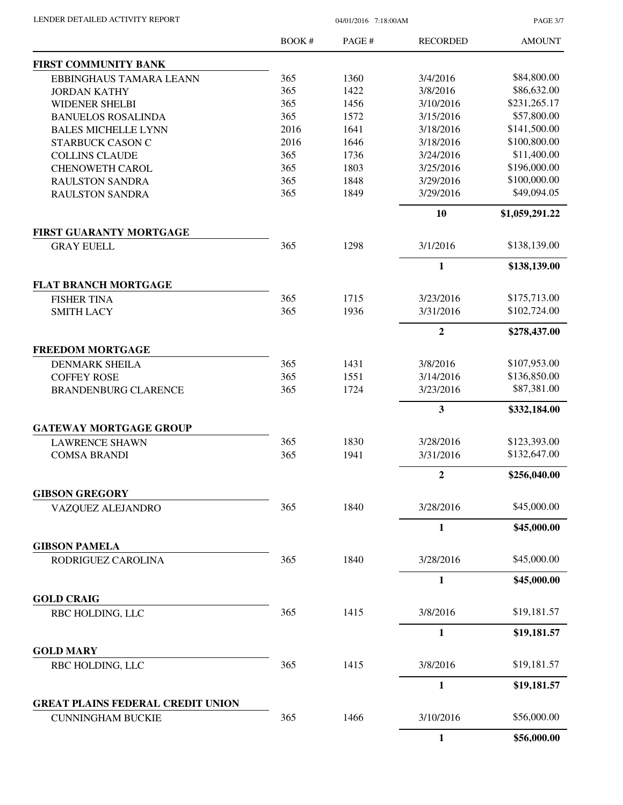| LENDER DETAILED ACTIVITY REPORT |  |
|---------------------------------|--|

04/01/2016 7:18:00AM

PAGE 3/7

|                                            | BOOK#      | PAGE# | <b>RECORDED</b>        | <b>AMOUNT</b>                |
|--------------------------------------------|------------|-------|------------------------|------------------------------|
| FIRST COMMUNITY BANK                       |            |       |                        |                              |
| EBBINGHAUS TAMARA LEANN                    | 365        | 1360  | 3/4/2016               | \$84,800.00                  |
| <b>JORDAN KATHY</b>                        | 365        | 1422  | 3/8/2016               | \$86,632.00                  |
| <b>WIDENER SHELBI</b>                      | 365        | 1456  | 3/10/2016              | \$231,265.17                 |
| <b>BANUELOS ROSALINDA</b>                  | 365        | 1572  | 3/15/2016              | \$57,800.00                  |
| <b>BALES MICHELLE LYNN</b>                 | 2016       | 1641  | 3/18/2016              | \$141,500.00                 |
| <b>STARBUCK CASON C</b>                    | 2016       | 1646  | 3/18/2016              | \$100,800.00                 |
| <b>COLLINS CLAUDE</b>                      | 365        | 1736  | 3/24/2016              | \$11,400.00                  |
| <b>CHENOWETH CAROL</b>                     | 365        | 1803  | 3/25/2016              | \$196,000.00                 |
| <b>RAULSTON SANDRA</b>                     | 365        | 1848  | 3/29/2016              | \$100,000.00                 |
| <b>RAULSTON SANDRA</b>                     | 365        | 1849  | 3/29/2016              | \$49,094.05                  |
|                                            |            |       | 10                     | \$1,059,291.22               |
| <b>FIRST GUARANTY MORTGAGE</b>             |            |       |                        |                              |
| <b>GRAY EUELL</b>                          | 365        | 1298  | 3/1/2016               | \$138,139.00                 |
|                                            |            |       | $\mathbf{1}$           | \$138,139.00                 |
| <b>FLAT BRANCH MORTGAGE</b>                |            |       |                        |                              |
| <b>FISHER TINA</b>                         | 365<br>365 | 1715  | 3/23/2016<br>3/31/2016 | \$175,713.00<br>\$102,724.00 |
| <b>SMITH LACY</b>                          |            | 1936  |                        |                              |
|                                            |            |       | $\overline{2}$         | \$278,437.00                 |
| <b>FREEDOM MORTGAGE</b>                    |            |       |                        |                              |
| <b>DENMARK SHEILA</b>                      | 365        | 1431  | 3/8/2016               | \$107,953.00                 |
| <b>COFFEY ROSE</b>                         | 365        | 1551  | 3/14/2016              | \$136,850.00                 |
| <b>BRANDENBURG CLARENCE</b>                | 365        | 1724  | 3/23/2016              | \$87,381.00                  |
|                                            |            |       | $\mathbf{3}$           | \$332,184.00                 |
| <b>GATEWAY MORTGAGE GROUP</b>              |            |       |                        |                              |
| <b>LAWRENCE SHAWN</b>                      | 365        | 1830  | 3/28/2016              | \$123,393.00                 |
| <b>COMSA BRANDI</b>                        | 365        | 1941  | 3/31/2016              | \$132,647.00                 |
|                                            |            |       | $\overline{2}$         | \$256,040.00                 |
| <b>GIBSON GREGORY</b><br>VAZQUEZ ALEJANDRO | 365        | 1840  | 3/28/2016              | \$45,000.00                  |
|                                            |            |       | $\mathbf{1}$           | \$45,000.00                  |
| <b>GIBSON PAMELA</b>                       |            |       |                        |                              |
| RODRIGUEZ CAROLINA                         | 365        | 1840  | 3/28/2016              | \$45,000.00                  |
|                                            |            |       | 1                      | \$45,000.00                  |
| <b>GOLD CRAIG</b>                          |            |       |                        |                              |
| RBC HOLDING, LLC                           | 365        | 1415  | 3/8/2016               | \$19,181.57                  |
|                                            |            |       | $\mathbf{1}$           | \$19,181.57                  |
| <b>GOLD MARY</b>                           | 365        | 1415  | 3/8/2016               | \$19,181.57                  |
| RBC HOLDING, LLC                           |            |       |                        |                              |
| <b>GREAT PLAINS FEDERAL CREDIT UNION</b>   |            |       | $\mathbf{1}$           | \$19,181.57                  |
| <b>CUNNINGHAM BUCKIE</b>                   | 365        | 1466  | 3/10/2016              | \$56,000.00                  |
|                                            |            |       | 1                      | \$56,000.00                  |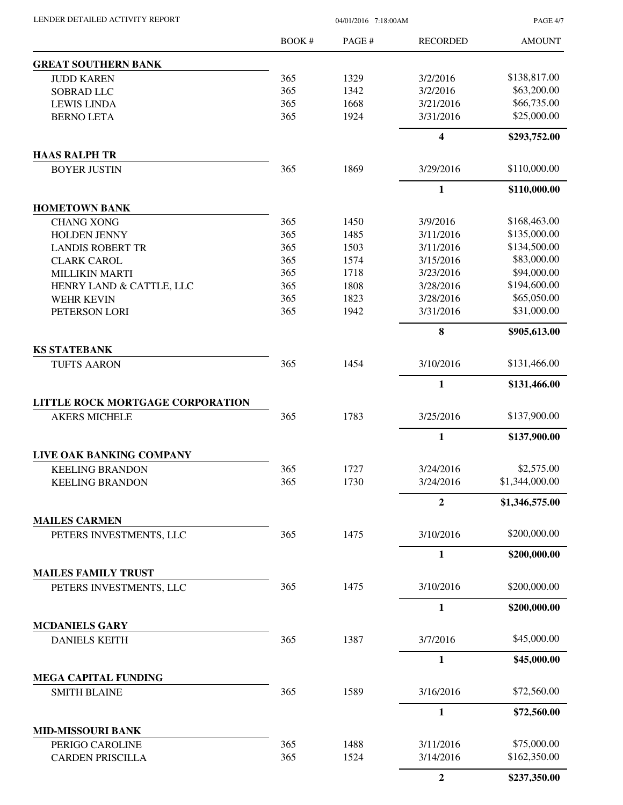LENDER DETAILED ACTIVITY REPORT 04/01/2016 7:18:00AM

PAGE 4/7

|                                               | BOOK#      | PAGE# | <b>RECORDED</b>         | <b>AMOUNT</b>  |
|-----------------------------------------------|------------|-------|-------------------------|----------------|
| <b>GREAT SOUTHERN BANK</b>                    |            |       |                         |                |
| <b>JUDD KAREN</b>                             | 365        | 1329  | 3/2/2016                | \$138,817.00   |
| SOBRAD LLC                                    | 365        | 1342  | 3/2/2016                | \$63,200.00    |
| <b>LEWIS LINDA</b>                            | 365        | 1668  | 3/21/2016               | \$66,735.00    |
| <b>BERNO LETA</b>                             | 365        | 1924  | 3/31/2016               | \$25,000.00    |
|                                               |            |       | $\overline{\mathbf{4}}$ | \$293,752.00   |
| <b>HAAS RALPH TR</b><br><b>BOYER JUSTIN</b>   | 365        | 1869  | 3/29/2016               | \$110,000.00   |
|                                               |            |       | $\mathbf{1}$            | \$110,000.00   |
| <b>HOMETOWN BANK</b>                          |            |       |                         |                |
| <b>CHANG XONG</b>                             | 365        | 1450  | 3/9/2016                | \$168,463.00   |
| HOLDEN JENNY                                  | 365        | 1485  | 3/11/2016               | \$135,000.00   |
| <b>LANDIS ROBERT TR</b>                       | 365        | 1503  | 3/11/2016               | \$134,500.00   |
| <b>CLARK CAROL</b>                            | 365        | 1574  | 3/15/2016               | \$83,000.00    |
| <b>MILLIKIN MARTI</b>                         | 365        | 1718  | 3/23/2016               | \$94,000.00    |
| HENRY LAND & CATTLE, LLC                      | 365        | 1808  | 3/28/2016               | \$194,600.00   |
| <b>WEHR KEVIN</b>                             | 365        | 1823  | 3/28/2016               | \$65,050.00    |
| PETERSON LORI                                 | 365        | 1942  | 3/31/2016               | \$31,000.00    |
|                                               |            |       | 8                       | \$905,613.00   |
| <b>KS STATEBANK</b><br><b>TUFTS AARON</b>     | 365        | 1454  | 3/10/2016               | \$131,466.00   |
|                                               |            |       | $\mathbf{1}$            | \$131,466.00   |
| LITTLE ROCK MORTGAGE CORPORATION              |            |       |                         |                |
| <b>AKERS MICHELE</b>                          | 365        | 1783  | 3/25/2016               | \$137,900.00   |
|                                               |            |       | 1                       | \$137,900.00   |
| LIVE OAK BANKING COMPANY                      |            | 1727  | 3/24/2016               | \$2,575.00     |
| <b>KEELING BRANDON</b>                        | 365<br>365 | 1730  | 3/24/2016               | \$1,344,000.00 |
| <b>KEELING BRANDON</b>                        |            |       |                         |                |
| <b>MAILES CARMEN</b>                          |            |       | $\overline{2}$          | \$1,346,575.00 |
| PETERS INVESTMENTS, LLC                       | 365        | 1475  | 3/10/2016               | \$200,000.00   |
|                                               |            |       | 1                       | \$200,000.00   |
| <b>MAILES FAMILY TRUST</b>                    |            |       |                         |                |
| PETERS INVESTMENTS, LLC                       | 365        | 1475  | 3/10/2016               | \$200,000.00   |
|                                               |            |       | 1                       | \$200,000.00   |
| <b>MCDANIELS GARY</b><br><b>DANIELS KEITH</b> | 365        | 1387  | 3/7/2016                | \$45,000.00    |
|                                               |            |       | $\mathbf{1}$            | \$45,000.00    |
| <b>MEGA CAPITAL FUNDING</b>                   |            |       |                         |                |
| <b>SMITH BLAINE</b>                           | 365        | 1589  | 3/16/2016               | \$72,560.00    |
|                                               |            |       | 1                       | \$72,560.00    |
| <b>MID-MISSOURI BANK</b>                      |            |       |                         |                |
| PERIGO CAROLINE                               | 365        | 1488  | 3/11/2016               | \$75,000.00    |
| <b>CARDEN PRISCILLA</b>                       | 365        | 1524  | 3/14/2016               | \$162,350.00   |
|                                               |            |       | $\boldsymbol{2}$        | \$237,350.00   |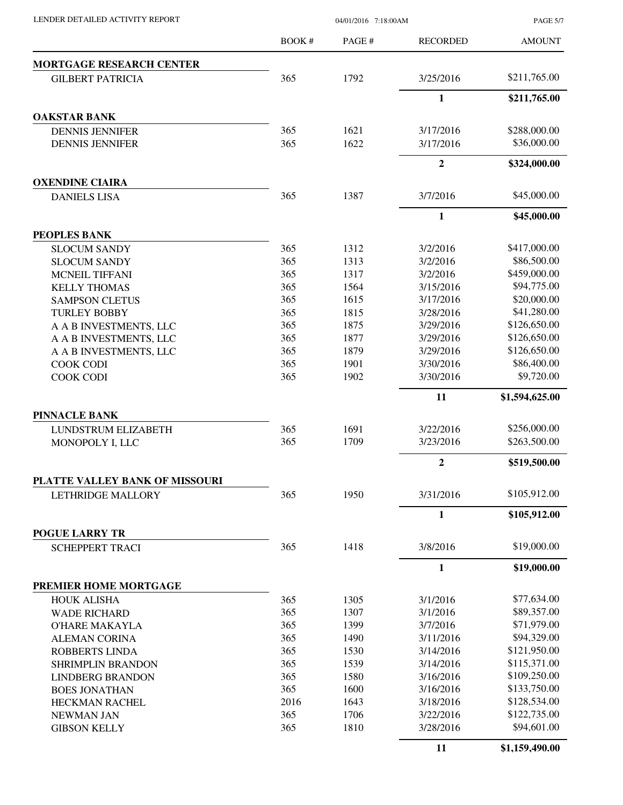LENDER DETAILED ACTIVITY REPORT 04/01/2016 7:18:00AM

PAGE 5/7

|                                                 | <b>BOOK#</b> | PAGE# | <b>RECORDED</b> | <b>AMOUNT</b>  |
|-------------------------------------------------|--------------|-------|-----------------|----------------|
| <b>MORTGAGE RESEARCH CENTER</b>                 |              |       |                 |                |
| <b>GILBERT PATRICIA</b>                         | 365          | 1792  | 3/25/2016       | \$211,765.00   |
|                                                 |              |       | $\mathbf{1}$    | \$211,765.00   |
| <b>OAKSTAR BANK</b>                             |              |       |                 |                |
| <b>DENNIS JENNIFER</b>                          | 365          | 1621  | 3/17/2016       | \$288,000.00   |
| <b>DENNIS JENNIFER</b>                          | 365          | 1622  | 3/17/2016       | \$36,000.00    |
|                                                 |              |       | $\overline{2}$  | \$324,000.00   |
| <b>OXENDINE CIAIRA</b>                          |              |       |                 |                |
| <b>DANIELS LISA</b>                             | 365          | 1387  | 3/7/2016        | \$45,000.00    |
|                                                 |              |       | 1               | \$45,000.00    |
| <b>PEOPLES BANK</b>                             |              |       |                 |                |
| <b>SLOCUM SANDY</b>                             | 365          | 1312  | 3/2/2016        | \$417,000.00   |
| <b>SLOCUM SANDY</b>                             | 365          | 1313  | 3/2/2016        | \$86,500.00    |
| <b>MCNEIL TIFFANI</b>                           | 365          | 1317  | 3/2/2016        | \$459,000.00   |
| <b>KELLY THOMAS</b>                             | 365          | 1564  | 3/15/2016       | \$94,775.00    |
| <b>SAMPSON CLETUS</b>                           | 365          | 1615  | 3/17/2016       | \$20,000.00    |
| <b>TURLEY BOBBY</b>                             | 365          | 1815  | 3/28/2016       | \$41,280.00    |
| A A B INVESTMENTS, LLC                          | 365          | 1875  | 3/29/2016       | \$126,650.00   |
| A A B INVESTMENTS, LLC                          | 365          | 1877  | 3/29/2016       | \$126,650.00   |
| A A B INVESTMENTS, LLC                          | 365          | 1879  | 3/29/2016       | \$126,650.00   |
| <b>COOK CODI</b>                                | 365          | 1901  | 3/30/2016       | \$86,400.00    |
| <b>COOK CODI</b>                                | 365          | 1902  | 3/30/2016       | \$9,720.00     |
|                                                 |              |       | 11              | \$1,594,625.00 |
| <b>PINNACLE BANK</b>                            |              |       |                 |                |
| <b>LUNDSTRUM ELIZABETH</b>                      | 365          | 1691  | 3/22/2016       | \$256,000.00   |
| MONOPOLY I, LLC                                 | 365          | 1709  | 3/23/2016       | \$263,500.00   |
|                                                 |              |       | $\mathbf{2}$    | \$519,500.00   |
| PLATTE VALLEY BANK OF MISSOURI                  |              |       |                 |                |
| <b>LETHRIDGE MALLORY</b>                        | 365          | 1950  | 3/31/2016       | \$105,912.00   |
|                                                 |              |       | $\mathbf{1}$    | \$105,912.00   |
| <b>POGUE LARRY TR</b><br><b>SCHEPPERT TRACI</b> | 365          | 1418  | 3/8/2016        | \$19,000.00    |
|                                                 |              |       | $\mathbf{1}$    | \$19,000.00    |
| PREMIER HOME MORTGAGE                           |              |       |                 |                |
| <b>HOUK ALISHA</b>                              | 365          | 1305  | 3/1/2016        | \$77,634.00    |
| <b>WADE RICHARD</b>                             | 365          | 1307  | 3/1/2016        | \$89,357.00    |
| <b>O'HARE MAKAYLA</b>                           | 365          | 1399  | 3/7/2016        | \$71,979.00    |
|                                                 | 365          | 1490  | 3/11/2016       | \$94,329.00    |
| <b>ALEMAN CORINA</b>                            |              |       |                 |                |
| <b>ROBBERTS LINDA</b>                           | 365          | 1530  | 3/14/2016       | \$121,950.00   |
| <b>SHRIMPLIN BRANDON</b>                        | 365          | 1539  | 3/14/2016       | \$115,371.00   |
| <b>LINDBERG BRANDON</b>                         | 365          | 1580  | 3/16/2016       | \$109,250.00   |
| <b>BOES JONATHAN</b>                            | 365          | 1600  | 3/16/2016       | \$133,750.00   |
| HECKMAN RACHEL                                  | 2016         | 1643  | 3/18/2016       | \$128,534.00   |
| NEWMAN JAN                                      | 365          | 1706  | 3/22/2016       | \$122,735.00   |
| <b>GIBSON KELLY</b>                             | 365          | 1810  | 3/28/2016       | \$94,601.00    |
|                                                 |              |       | 11              | \$1,159,490.00 |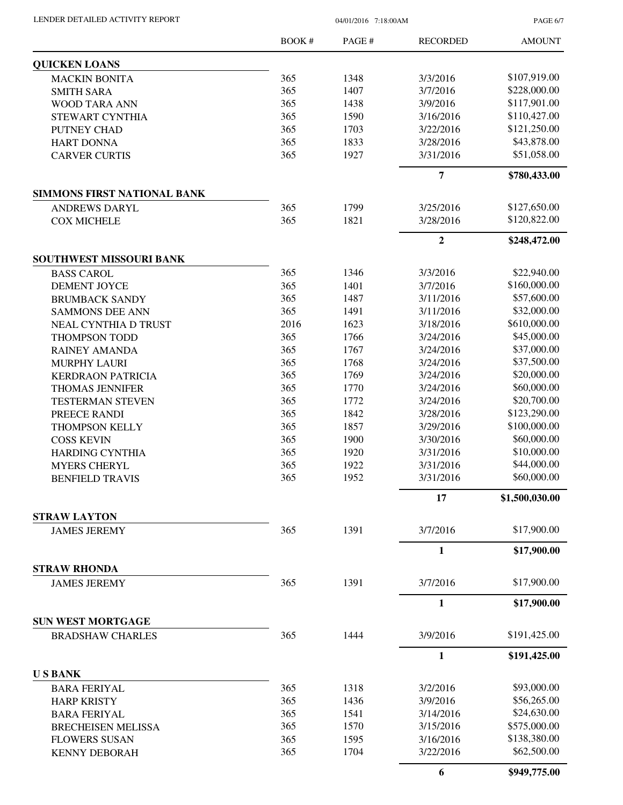| LENDER DETAILED ACTIVITY REPORT |  |
|---------------------------------|--|
|                                 |  |

04/01/2016 7:18:00AM

PAGE 6/7

|                                                     | <b>BOOK#</b> | PAGE# | <b>RECORDED</b>  | <b>AMOUNT</b>  |
|-----------------------------------------------------|--------------|-------|------------------|----------------|
| <b>QUICKEN LOANS</b>                                |              |       |                  |                |
| <b>MACKIN BONITA</b>                                | 365          | 1348  | 3/3/2016         | \$107,919.00   |
| <b>SMITH SARA</b>                                   | 365          | 1407  | 3/7/2016         | \$228,000.00   |
| WOOD TARA ANN                                       | 365          | 1438  | 3/9/2016         | \$117,901.00   |
| STEWART CYNTHIA                                     | 365          | 1590  | 3/16/2016        | \$110,427.00   |
| PUTNEY CHAD                                         | 365          | 1703  | 3/22/2016        | \$121,250.00   |
| <b>HART DONNA</b>                                   | 365          | 1833  | 3/28/2016        | \$43,878.00    |
| <b>CARVER CURTIS</b>                                | 365          | 1927  | 3/31/2016        | \$51,058.00    |
|                                                     |              |       | $\overline{7}$   | \$780,433.00   |
| <b>SIMMONS FIRST NATIONAL BANK</b>                  |              |       |                  |                |
| <b>ANDREWS DARYL</b>                                | 365          | 1799  | 3/25/2016        | \$127,650.00   |
| <b>COX MICHELE</b>                                  | 365          | 1821  | 3/28/2016        | \$120,822.00   |
|                                                     |              |       | $\boldsymbol{2}$ | \$248,472.00   |
| SOUTHWEST MISSOURI BANK                             |              |       |                  |                |
| <b>BASS CAROL</b>                                   | 365          | 1346  | 3/3/2016         | \$22,940.00    |
| <b>DEMENT JOYCE</b>                                 | 365          | 1401  | 3/7/2016         | \$160,000.00   |
| <b>BRUMBACK SANDY</b>                               | 365          | 1487  | 3/11/2016        | \$57,600.00    |
| <b>SAMMONS DEE ANN</b>                              | 365          | 1491  | 3/11/2016        | \$32,000.00    |
| NEAL CYNTHIA D TRUST                                | 2016         | 1623  | 3/18/2016        | \$610,000.00   |
| THOMPSON TODD                                       | 365          | 1766  | 3/24/2016        | \$45,000.00    |
| <b>RAINEY AMANDA</b>                                | 365          | 1767  | 3/24/2016        | \$37,000.00    |
| <b>MURPHY LAURI</b>                                 | 365          | 1768  | 3/24/2016        | \$37,500.00    |
| <b>KERDRAON PATRICIA</b>                            | 365          | 1769  | 3/24/2016        | \$20,000.00    |
| <b>THOMAS JENNIFER</b>                              | 365          | 1770  | 3/24/2016        | \$60,000.00    |
| <b>TESTERMAN STEVEN</b>                             | 365          | 1772  | 3/24/2016        | \$20,700.00    |
| PREECE RANDI                                        | 365          | 1842  | 3/28/2016        | \$123,290.00   |
| THOMPSON KELLY                                      | 365          | 1857  | 3/29/2016        | \$100,000.00   |
| <b>COSS KEVIN</b>                                   | 365          | 1900  | 3/30/2016        | \$60,000.00    |
| <b>HARDING CYNTHIA</b>                              | 365          | 1920  | 3/31/2016        | \$10,000.00    |
| <b>MYERS CHERYL</b>                                 | 365          | 1922  | 3/31/2016        | \$44,000.00    |
| <b>BENFIELD TRAVIS</b>                              | 365          | 1952  | 3/31/2016        | \$60,000.00    |
|                                                     |              |       | 17               | \$1,500,030.00 |
| <b>STRAW LAYTON</b>                                 |              |       |                  |                |
| <b>JAMES JEREMY</b>                                 | 365          | 1391  | 3/7/2016         | \$17,900.00    |
|                                                     |              |       | $\mathbf{1}$     | \$17,900.00    |
| <b>STRAW RHONDA</b>                                 |              |       |                  |                |
| <b>JAMES JEREMY</b>                                 | 365          | 1391  | 3/7/2016         | \$17,900.00    |
|                                                     |              |       | $\mathbf{1}$     | \$17,900.00    |
| <b>SUN WEST MORTGAGE</b><br><b>BRADSHAW CHARLES</b> | 365          | 1444  | 3/9/2016         | \$191,425.00   |
|                                                     |              |       | $\mathbf{1}$     | \$191,425.00   |
| <b>USBANK</b>                                       |              |       |                  |                |
| <b>BARA FERIYAL</b>                                 | 365          | 1318  | 3/2/2016         | \$93,000.00    |
| <b>HARP KRISTY</b>                                  | 365          | 1436  | 3/9/2016         | \$56,265.00    |
| <b>BARA FERIYAL</b>                                 | 365          | 1541  | 3/14/2016        | \$24,630.00    |
|                                                     | 365          | 1570  | 3/15/2016        | \$575,000.00   |
| <b>BRECHEISEN MELISSA</b>                           | 365          | 1595  | 3/16/2016        | \$138,380.00   |
| <b>FLOWERS SUSAN</b>                                | 365          |       |                  | \$62,500.00    |
| <b>KENNY DEBORAH</b>                                |              | 1704  | 3/22/2016        |                |
|                                                     |              |       | 6                | \$949,775.00   |